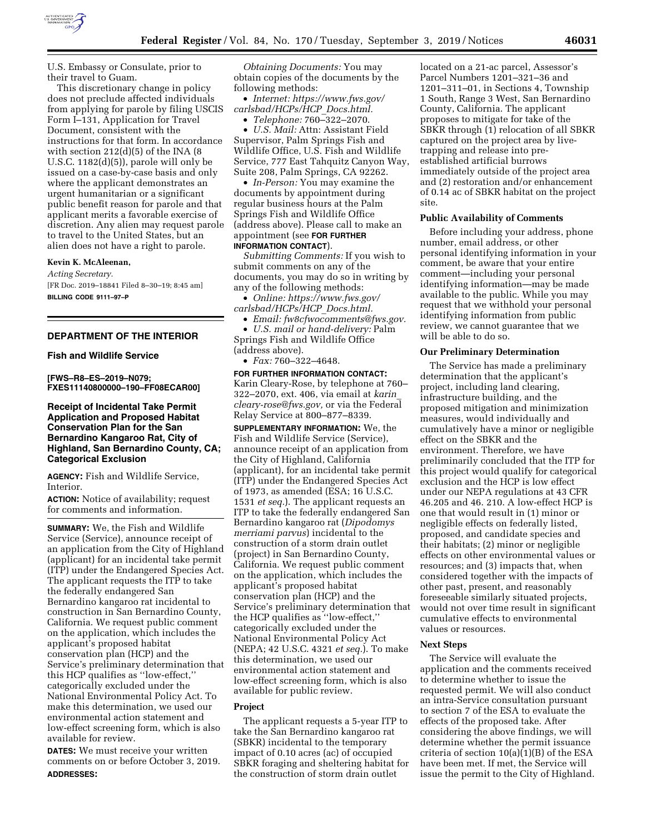

U.S. Embassy or Consulate, prior to their travel to Guam.

This discretionary change in policy does not preclude affected individuals from applying for parole by filing USCIS Form I–131, Application for Travel Document, consistent with the instructions for that form. In accordance with section  $212(d)(5)$  of the INA  $(8$ U.S.C. 1182(d)(5)), parole will only be issued on a case-by-case basis and only where the applicant demonstrates an urgent humanitarian or a significant public benefit reason for parole and that applicant merits a favorable exercise of discretion. Any alien may request parole to travel to the United States, but an alien does not have a right to parole.

## **Kevin K. McAleenan,**

*Acting Secretary.*  [FR Doc. 2019–18841 Filed 8–30–19; 8:45 am] **BILLING CODE 9111–97–P** 

## **DEPARTMENT OF THE INTERIOR**

### **Fish and Wildlife Service**

**[FWS–R8–ES–2019–N079; FXES11140800000–190–FF08ECAR00]** 

## **Receipt of Incidental Take Permit Application and Proposed Habitat Conservation Plan for the San Bernardino Kangaroo Rat, City of Highland, San Bernardino County, CA; Categorical Exclusion**

**AGENCY:** Fish and Wildlife Service, Interior.

**ACTION:** Notice of availability; request for comments and information.

**SUMMARY:** We, the Fish and Wildlife Service (Service), announce receipt of an application from the City of Highland (applicant) for an incidental take permit (ITP) under the Endangered Species Act. The applicant requests the ITP to take the federally endangered San Bernardino kangaroo rat incidental to construction in San Bernardino County, California. We request public comment on the application, which includes the applicant's proposed habitat conservation plan (HCP) and the Service's preliminary determination that this HCP qualifies as ''low-effect,'' categorically excluded under the National Environmental Policy Act. To make this determination, we used our environmental action statement and low-effect screening form, which is also available for review.

**DATES:** We must receive your written comments on or before October 3, 2019. **ADDRESSES:**

*Obtaining Documents:* You may obtain copies of the documents by the following methods:

• *Internet: [https://www.fws.gov/](https://www.fws.gov/carlsbad/HCPs/HCP_Docs.html) [carlsbad/HCPs/HCP](https://www.fws.gov/carlsbad/HCPs/HCP_Docs.html)*\_*Docs.html.* 

• *Telephone:* 760–322–2070.

• *U.S. Mail:* Attn: Assistant Field Supervisor, Palm Springs Fish and Wildlife Office, U.S. Fish and Wildlife Service, 777 East Tahquitz Canyon Way, Suite 208, Palm Springs, CA 92262.

• *In-Person:* You may examine the documents by appointment during regular business hours at the Palm Springs Fish and Wildlife Office (address above). Please call to make an appointment (see **FOR FURTHER INFORMATION CONTACT**).

*Submitting Comments:* If you wish to submit comments on any of the documents, you may do so in writing by any of the following methods:

• *Online: [https://www.fws.gov/](https://www.fws.gov/carlsbad/HCPs/HCP_Docs.html)  [carlsbad/HCPs/HCP](https://www.fws.gov/carlsbad/HCPs/HCP_Docs.html)*\_*Docs.html.* 

• *Email: [fw8cfwocomments@fws.gov.](mailto:fw8cfwocomments@fws.gov)* 

• *U.S. mail or hand-delivery:* Palm Springs Fish and Wildlife Office (address above).

• *Fax:* 760–322–4648.

**FOR FURTHER INFORMATION CONTACT:**  Karin Cleary-Rose, by telephone at 760– 322–2070, ext. 406, via email at *[karin](mailto:karin_cleary-rose@fws.gov)*\_ *[cleary-rose@fws.gov,](mailto:karin_cleary-rose@fws.gov)* or via the Federal Relay Service at 800–877–8339.

**SUPPLEMENTARY INFORMATION:** We, the Fish and Wildlife Service (Service), announce receipt of an application from the City of Highland, California (applicant), for an incidental take permit (ITP) under the Endangered Species Act of 1973, as amended (ESA; 16 U.S.C. 1531 *et seq.*). The applicant requests an ITP to take the federally endangered San Bernardino kangaroo rat (*Dipodomys merriami parvus*) incidental to the construction of a storm drain outlet (project) in San Bernardino County, California. We request public comment on the application, which includes the applicant's proposed habitat conservation plan (HCP) and the Service's preliminary determination that the HCP qualifies as ''low-effect,'' categorically excluded under the National Environmental Policy Act (NEPA; 42 U.S.C. 4321 *et seq.*). To make this determination, we used our environmental action statement and low-effect screening form, which is also available for public review.

### **Project**

The applicant requests a 5-year ITP to take the San Bernardino kangaroo rat (SBKR) incidental to the temporary impact of 0.10 acres (ac) of occupied SBKR foraging and sheltering habitat for the construction of storm drain outlet

located on a 21-ac parcel, Assessor's Parcel Numbers 1201–321–36 and 1201–311–01, in Sections 4, Township 1 South, Range 3 West, San Bernardino County, California. The applicant proposes to mitigate for take of the SBKR through (1) relocation of all SBKR captured on the project area by livetrapping and release into preestablished artificial burrows immediately outside of the project area and (2) restoration and/or enhancement of 0.14 ac of SBKR habitat on the project site.

### **Public Availability of Comments**

Before including your address, phone number, email address, or other personal identifying information in your comment, be aware that your entire comment—including your personal identifying information—may be made available to the public. While you may request that we withhold your personal identifying information from public review, we cannot guarantee that we will be able to do so.

#### **Our Preliminary Determination**

The Service has made a preliminary determination that the applicant's project, including land clearing, infrastructure building, and the proposed mitigation and minimization measures, would individually and cumulatively have a minor or negligible effect on the SBKR and the environment. Therefore, we have preliminarily concluded that the ITP for this project would qualify for categorical exclusion and the HCP is low effect under our NEPA regulations at 43 CFR 46.205 and 46. 210. A low-effect HCP is one that would result in (1) minor or negligible effects on federally listed, proposed, and candidate species and their habitats; (2) minor or negligible effects on other environmental values or resources; and (3) impacts that, when considered together with the impacts of other past, present, and reasonably foreseeable similarly situated projects, would not over time result in significant cumulative effects to environmental values or resources.

#### **Next Steps**

The Service will evaluate the application and the comments received to determine whether to issue the requested permit. We will also conduct an intra-Service consultation pursuant to section 7 of the ESA to evaluate the effects of the proposed take. After considering the above findings, we will determine whether the permit issuance criteria of section  $10(a)(1)(B)$  of the ESA have been met. If met, the Service will issue the permit to the City of Highland.